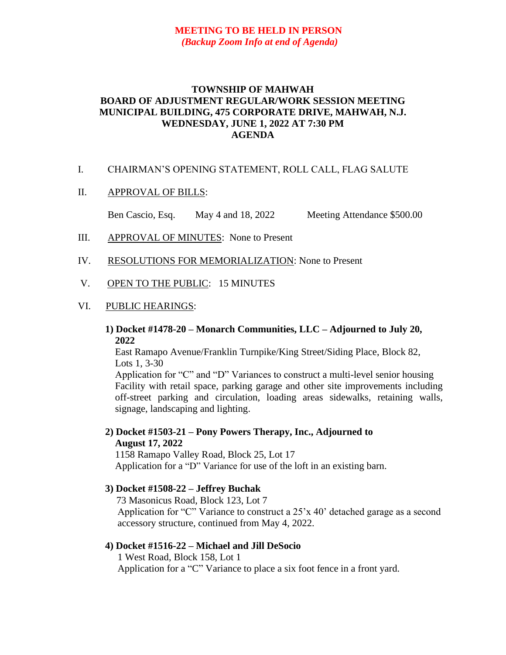# **MEETING TO BE HELD IN PERSON** *(Backup Zoom Info at end of Agenda)*

# **TOWNSHIP OF MAHWAH BOARD OF ADJUSTMENT REGULAR/WORK SESSION MEETING MUNICIPAL BUILDING, 475 CORPORATE DRIVE, MAHWAH, N.J. WEDNESDAY, JUNE 1, 2022 AT 7:30 PM AGENDA**

### I. CHAIRMAN'S OPENING STATEMENT, ROLL CALL, FLAG SALUTE

## II. APPROVAL OF BILLS:

Ben Cascio, Esq. May 4 and 18, 2022 Meeting Attendance \$500.00

- III. APPROVAL OF MINUTES: None to Present
- IV. RESOLUTIONS FOR MEMORIALIZATION: None to Present

## V. OPEN TO THE PUBLIC: 15 MINUTES

#### VI. PUBLIC HEARINGS:

## **1) Docket #1478-20 – Monarch Communities, LLC – Adjourned to July 20, 2022**

 East Ramapo Avenue/Franklin Turnpike/King Street/Siding Place, Block 82, Lots 1, 3-30

 Application for "C" and "D" Variances to construct a multi-level senior housing Facility with retail space, parking garage and other site improvements including off-street parking and circulation, loading areas sidewalks, retaining walls, signage, landscaping and lighting.

# **2) Docket #1503-21 – Pony Powers Therapy, Inc., Adjourned to August 17, 2022**

 1158 Ramapo Valley Road, Block 25, Lot 17 Application for a "D" Variance for use of the loft in an existing barn.

## **3) Docket #1508-22 – Jeffrey Buchak**

73 Masonicus Road, Block 123, Lot 7 Application for "C" Variance to construct a 25'x 40' detached garage as a second accessory structure, continued from May 4, 2022.

## **4) Docket #1516-22 – Michael and Jill DeSocio**

1 West Road, Block 158, Lot 1 Application for a "C" Variance to place a six foot fence in a front yard.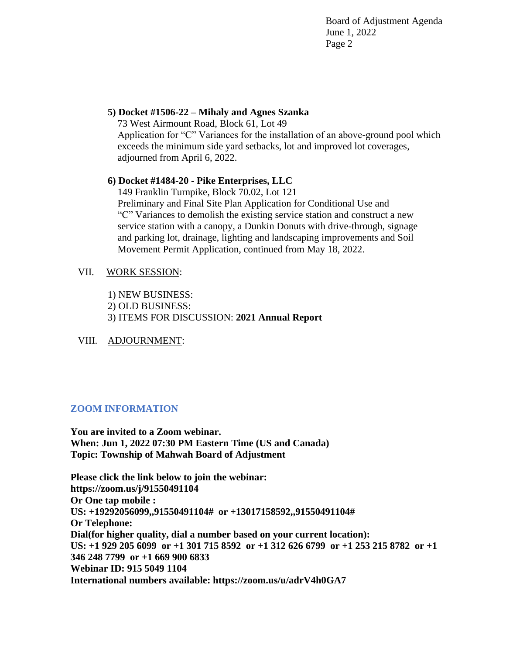Board of Adjustment Agenda June 1, 2022 Page 2

# **5) Docket #1506-22 – Mihaly and Agnes Szanka**

 73 West Airmount Road, Block 61, Lot 49 Application for "C" Variances for the installation of an above-ground pool which exceeds the minimum side yard setbacks, lot and improved lot coverages, adjourned from April 6, 2022.

# **6) Docket #1484-20 - Pike Enterprises, LLC**

149 Franklin Turnpike, Block 70.02, Lot 121 Preliminary and Final Site Plan Application for Conditional Use and "C" Variances to demolish the existing service station and construct a new service station with a canopy, a Dunkin Donuts with drive-through, signage and parking lot, drainage, lighting and landscaping improvements and Soil Movement Permit Application, continued from May 18, 2022.

# VII. WORK SESSION:

- 1) NEW BUSINESS:
- 2) OLD BUSINESS:
- 3) ITEMS FOR DISCUSSION: **2021 Annual Report**

# VIII. ADJOURNMENT:

# **ZOOM INFORMATION**

 **You are invited to a Zoom webinar. When: Jun 1, 2022 07:30 PM Eastern Time (US and Canada) Topic: Township of Mahwah Board of Adjustment**

 **Please click the link below to join the webinar: https://zoom.us/j/91550491104 Or One tap mobile : US: +19292056099,,91550491104# or +13017158592,,91550491104# Or Telephone: Dial(for higher quality, dial a number based on your current location): US: +1 929 205 6099 or +1 301 715 8592 or +1 312 626 6799 or +1 253 215 8782 or +1 346 248 7799 or +1 669 900 6833 Webinar ID: 915 5049 1104 International numbers available: https://zoom.us/u/adrV4h0GA7**